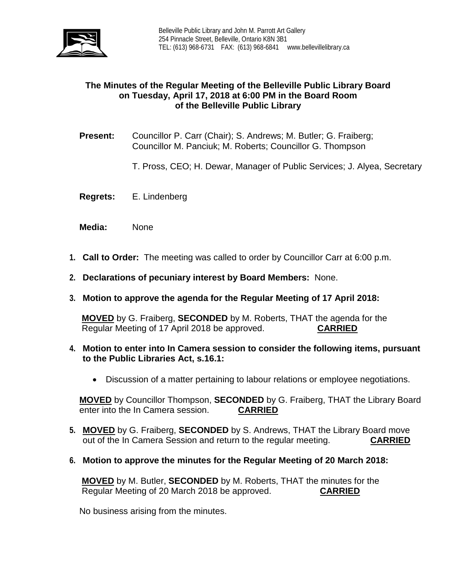

## **The Minutes of the Regular Meeting of the Belleville Public Library Board on Tuesday, April 17, 2018 at 6:00 PM in the Board Room of the Belleville Public Library**

- **Present:** Councillor P. Carr (Chair); S. Andrews; M. Butler; G. Fraiberg; Councillor M. Panciuk; M. Roberts; Councillor G. Thompson
	- T. Pross, CEO; H. Dewar, Manager of Public Services; J. Alyea, Secretary
- **Regrets:** E. Lindenberg
- **Media:** None
- **1. Call to Order:** The meeting was called to order by Councillor Carr at 6:00 p.m.
- **2. Declarations of pecuniary interest by Board Members:** None.
- **3. Motion to approve the agenda for the Regular Meeting of 17 April 2018:**

**MOVED** by G. Fraiberg, **SECONDED** by M. Roberts, THAT the agenda for the Regular Meeting of 17 April 2018 be approved. **CARRIED**

- **4. Motion to enter into In Camera session to consider the following items, pursuant to the Public Libraries Act, s.16.1:**
	- Discussion of a matter pertaining to labour relations or employee negotiations.

**MOVED** by Councillor Thompson, **SECONDED** by G. Fraiberg, THAT the Library Board enter into the In Camera session. **CARRIED**

- **5. MOVED** by G. Fraiberg, **SECONDED** by S. Andrews, THAT the Library Board move out of the In Camera Session and return to the regular meeting. **CARRIED**
- **6. Motion to approve the minutes for the Regular Meeting of 20 March 2018:**

**MOVED** by M. Butler, **SECONDED** by M. Roberts, THAT the minutes for the Regular Meeting of 20 March 2018 be approved. **CARRIED**

No business arising from the minutes.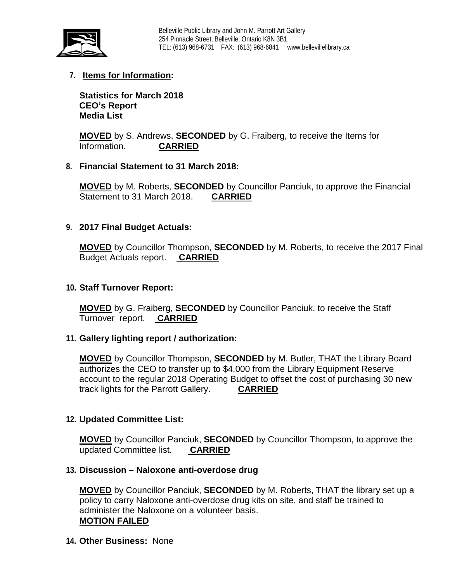

# **7. Items for Information:**

**Statistics for March 2018 CEO's Report Media List**

**MOVED** by S. Andrews, **SECONDED** by G. Fraiberg, to receive the Items for Information. **CARRIED**

## **8. Financial Statement to 31 March 2018:**

**MOVED** by M. Roberts, **SECONDED** by Councillor Panciuk, to approve the Financial Statement to 31 March 2018. **CARRIED**

## **9. 2017 Final Budget Actuals:**

**MOVED** by Councillor Thompson, **SECONDED** by M. Roberts, to receive the 2017 Final Budget Actuals report. **CARRIED**

#### **10. Staff Turnover Report:**

**MOVED** by G. Fraiberg, **SECONDED** by Councillor Panciuk, to receive the Staff Turnover report. **CARRIED**

#### **11. Gallery lighting report / authorization:**

**MOVED** by Councillor Thompson, **SECONDED** by M. Butler, THAT the Library Board authorizes the CEO to transfer up to \$4,000 from the Library Equipment Reserve account to the regular 2018 Operating Budget to offset the cost of purchasing 30 new track lights for the Parrott Gallery. **CARRIED**

#### **12. Updated Committee List:**

**MOVED** by Councillor Panciuk, **SECONDED** by Councillor Thompson, to approve the updated Committee list. **CARRIED**

#### **13. Discussion – Naloxone anti-overdose drug**

**MOVED** by Councillor Panciuk, **SECONDED** by M. Roberts, THAT the library set up a policy to carry Naloxone anti-overdose drug kits on site, and staff be trained to administer the Naloxone on a volunteer basis. **MOTION FAILED**

**14. Other Business:** None